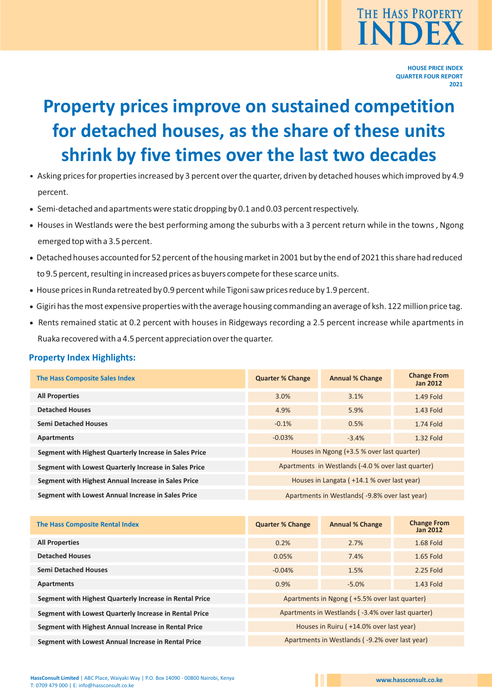

# **Property prices improve on sustained competition for detached houses, as the share of these units shrink by five times over the last two decades**

- Asking prices for properties increased by 3 percent over the quarter, driven by detached houses which improved by 4.9 percent.
- · Semi-detached and apartments were static dropping by 0.1 and 0.03 percent respectively.
- · Houses in Westlands were the best performing among the suburbs with a 3 percent return while in the towns , Ngong emerged top with a 3.5 percent.
- · Detached houses accounted for 52 percent of the housing market in 2001 but by the end of 2021 this share had reduced to 9.5 percent, resulting in increased prices as buyers compete for these scarce units.
- · House prices in Runda retreated by 0.9 percent while Tigoni saw prices reduce by 1.9 percent.
- · Gigiri has the most expensive properties with the average housing commanding an average of ksh. 122 million price tag.
- · Rents remained static at 0.2 percent with houses in Ridgeways recording a 2.5 percent increase while apartments in Ruaka recovered with a 4.5 percent appreciation over the quarter.

# **Property Index Highlights:**

| <b>The Hass Composite Sales Index</b>                  | <b>Quarter % Change</b>                            | <b>Annual % Change</b> | <b>Change From</b><br><b>Jan 2012</b> |  |
|--------------------------------------------------------|----------------------------------------------------|------------------------|---------------------------------------|--|
| <b>All Properties</b>                                  | 3.0%                                               | 3.1%                   | 1.49 Fold                             |  |
| <b>Detached Houses</b>                                 | 4.9%                                               | 5.9%                   | 1.43 Fold                             |  |
| <b>Semi Detached Houses</b>                            | $-0.1%$                                            | 0.5%                   | 1.74 Fold                             |  |
| <b>Apartments</b>                                      | $-0.03%$                                           | $-3.4%$                | 1.32 Fold                             |  |
| Segment with Highest Quarterly Increase in Sales Price | Houses in Ngong (+3.5 % over last quarter)         |                        |                                       |  |
| Segment with Lowest Quarterly Increase in Sales Price  | Apartments in Westlands (-4.0 % over last quarter) |                        |                                       |  |
| Segment with Highest Annual Increase in Sales Price    | Houses in Langata (+14.1 % over last year)         |                        |                                       |  |
| Segment with Lowest Annual Increase in Sales Price     | Apartments in Westlands (-9.8% over last year)     |                        |                                       |  |

| <b>The Hass Composite Rental Index</b>                  | <b>Quarter % Change</b>                           | <b>Annual % Change</b> | <b>Change From</b><br><b>Jan 2012</b> |  |  |
|---------------------------------------------------------|---------------------------------------------------|------------------------|---------------------------------------|--|--|
| <b>All Properties</b>                                   | 0.2%                                              | 2.7%                   | 1.68 Fold                             |  |  |
| <b>Detached Houses</b>                                  | 0.05%                                             | 7.4%                   | $1.65$ Fold                           |  |  |
| <b>Semi Detached Houses</b>                             | $-0.04%$                                          | 1.5%                   | 2.25 Fold                             |  |  |
| <b>Apartments</b>                                       | 0.9%                                              | $-5.0%$                | 1.43 Fold                             |  |  |
| Segment with Highest Quarterly Increase in Rental Price | Apartments in Ngong (+5.5% over last quarter)     |                        |                                       |  |  |
| Segment with Lowest Quarterly Increase in Rental Price  | Apartments in Westlands (-3.4% over last quarter) |                        |                                       |  |  |
| Segment with Highest Annual Increase in Rental Price    | Houses in Ruiru (+14.0% over last year)           |                        |                                       |  |  |
| Segment with Lowest Annual Increase in Rental Price     | Apartments in Westlands (-9.2% over last year)    |                        |                                       |  |  |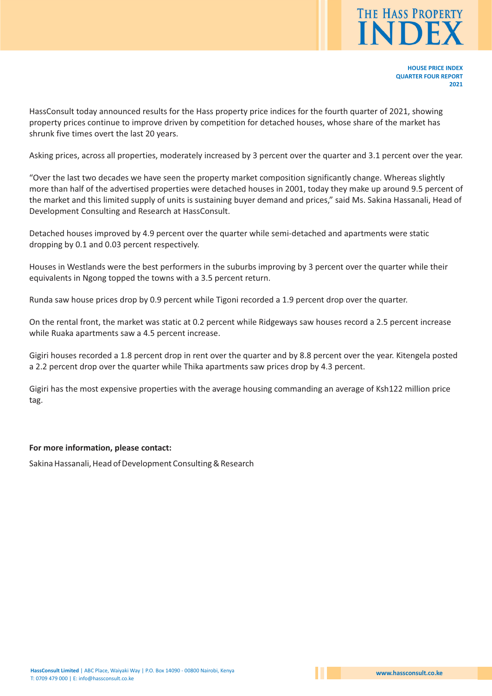

HassConsult today announced results for the Hass property price indices for the fourth quarter of 2021, showing property prices continue to improve driven by competition for detached houses, whose share of the market has shrunk five times overt the last 20 years.

Asking prices, across all properties, moderately increased by 3 percent over the quarter and 3.1 percent over the year.

"Over the last two decades we have seen the property market composition significantly change. Whereas slightly more than half of the advertised properties were detached houses in 2001, today they make up around 9.5 percent of the market and this limited supply of units is sustaining buyer demand and prices," said Ms. Sakina Hassanali, Head of Development Consulting and Research at HassConsult.

Detached houses improved by 4.9 percent over the quarter while semi-detached and apartments were static dropping by 0.1 and 0.03 percent respectively.

Houses in Westlands were the best performers in the suburbs improving by 3 percent over the quarter while their equivalents in Ngong topped the towns with a 3.5 percent return.

Runda saw house prices drop by 0.9 percent while Tigoni recorded a 1.9 percent drop over the quarter.

On the rental front, the market was static at 0.2 percent while Ridgeways saw houses record a 2.5 percent increase while Ruaka apartments saw a 4.5 percent increase.

Gigiri houses recorded a 1.8 percent drop in rent over the quarter and by 8.8 percent over the year. Kitengela posted a 2.2 percent drop over the quarter while Thika apartments saw prices drop by 4.3 percent.

Gigiri has the most expensive properties with the average housing commanding an average of Ksh122 million price tag.

## **For more information, please contact:**

Sakina Hassanali, Head of Development Consulting & Research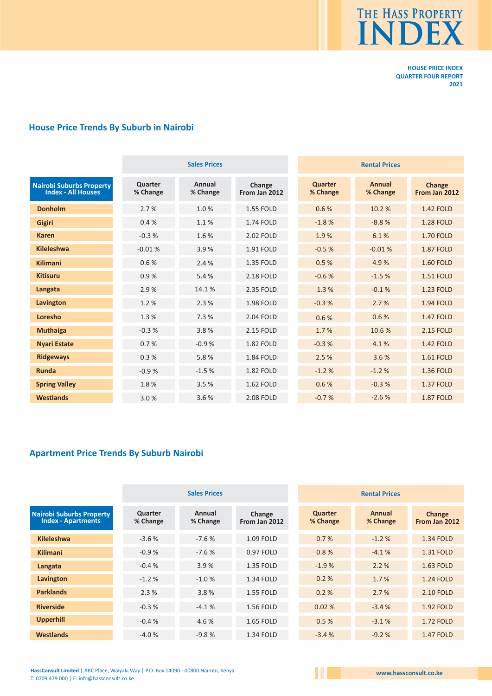

# **House Price Trends By Suburb in Nairobi**

|                                                              | <b>Sales Prices</b> |                    |                         | <b>Rental Prices</b>       |                    |                         |
|--------------------------------------------------------------|---------------------|--------------------|-------------------------|----------------------------|--------------------|-------------------------|
| <b>Nairobi Suburbs Property</b><br><b>Index - All Houses</b> | Quarter<br>% Change | Annual<br>% Change | Change<br>From Jan 2012 | <b>Quarter</b><br>% Change | Annual<br>% Change | Change<br>From Jan 2012 |
| <b>Donholm</b>                                               | 2.7%                | 1.0%               | <b>1.55 FOLD</b>        | 0.6%                       | 10.2%              | <b>1.42 FOLD</b>        |
| <b>Gigiri</b>                                                | 0.4%                | 1.1%               | 1.74 FOLD               | $-1.8%$                    | $-8.8%$            | <b>1.28 FOLD</b>        |
| <b>Karen</b>                                                 | $-0.3%$             | 1.6%               | 2.02 FOLD               | 1.9%                       | 6.1%               | <b>1.70 FOLD</b>        |
| <b>Kileleshwa</b>                                            | $-0.01%$            | 3.9%               | 1.91 FOLD               | $-0.5%$                    | $-0.01%$           | <b>1.87 FOLD</b>        |
| <b>Kilimani</b>                                              | 0.6%                | 2.4%               | 1.35 FOLD               | 0.5%                       | 4.9%               | <b>1.60 FOLD</b>        |
| <b>Kitisuru</b>                                              | 0.9%                | 5.4 %              | 2.18 FOLD               | $-0.6%$                    | $-1.5%$            | <b>1.51 FOLD</b>        |
| Langata                                                      | 2.9%                | 14.1%              | 2.35 FOLD               | 1.3%                       | $-0.1%$            | <b>1.23 FOLD</b>        |
| Lavington                                                    | 1.2%                | 2.3%               | 1.98 FOLD               | $-0.3%$                    | 2.7%               | <b>1.94 FOLD</b>        |
| Loresho                                                      | 1.3%                | 7.3 %              | 2.04 FOLD               | 0.6%                       | 0.6%               | <b>1.47 FOLD</b>        |
| <b>Muthaiga</b>                                              | $-0.3%$             | 3.8%               | 2.15 FOLD               | 1.7%                       | 10.6%              | 2.15 FOLD               |
| <b>Nyari Estate</b>                                          | 0.7%                | $-0.9%$            | 1.82 FOLD               | $-0.3%$                    | 4.1%               | <b>1.42 FOLD</b>        |
| <b>Ridgeways</b>                                             | 0.3%                | 5.8%               | 1.84 FOLD               | 2.5%                       | 3.6%               | <b>1.61 FOLD</b>        |
| <b>Runda</b>                                                 | $-0.9%$             | $-1.5%$            | <b>1.82 FOLD</b>        | $-1.2%$                    | $-1.2%$            | <b>1.36 FOLD</b>        |
| <b>Spring Valley</b>                                         | 1.8%                | 3.5%               | 1.62 FOLD               | 0.6%                       | $-0.3%$            | <b>1.37 FOLD</b>        |
| <b>Westlands</b>                                             | 3.0%                | 3.6%               | 2.08 FOLD               | $-0.7%$                    | $-2.6%$            | <b>1.87 FOLD</b>        |

# **Apartment Price Trends By Suburb Nairobi**

|                                                       |                     | <b>Sales Prices</b> |                         |                            | <b>Rental Prices</b> |                         |  |
|-------------------------------------------------------|---------------------|---------------------|-------------------------|----------------------------|----------------------|-------------------------|--|
| Nairobi Suburbs Property<br><b>Index - Apartments</b> | Quarter<br>% Change | Annual<br>% Change  | Change<br>From Jan 2012 | <b>Quarter</b><br>% Change | Annual<br>% Change   | Change<br>From Jan 2012 |  |
| <b>Kileleshwa</b>                                     | $-3.6%$             | $-7.6%$             | 1.09 FOLD               | 0.7%                       | $-1.2%$              | <b>1.34 FOLD</b>        |  |
| <b>Kilimani</b>                                       | $-0.9%$             | $-7.6%$             | 0.97 FOLD               | 0.8%                       | $-4.1%$              | 1.31 FOLD               |  |
| Langata                                               | $-0.4%$             | 3.9%                | 1.35 FOLD               | $-1.9%$                    | 2.2%                 | 1.63 FOLD               |  |
| Lavington                                             | $-1.2%$             | $-1.0%$             | 1.34 FOLD               | 0.2%                       | 1.7%                 | <b>1.24 FOLD</b>        |  |
| <b>Parklands</b>                                      | 2.3%                | 3.8%                | 1.55 FOLD               | 0.2%                       | 2.7%                 | 2.10 FOLD               |  |
| <b>Riverside</b>                                      | $-0.3%$             | $-4.1%$             | 1.56 FOLD               | 0.02%                      | $-3.4%$              | <b>1.92 FOLD</b>        |  |
| <b>Upperhill</b>                                      | $-0.4%$             | 4.6 %               | 1.65 FOLD               | 0.5%                       | $-3.1%$              | <b>1.72 FOLD</b>        |  |
| <b>Westlands</b>                                      | $-4.0%$             | $-9.8%$             | 1.34 FOLD               | $-3.4%$                    | $-9.2%$              | <b>1.47 FOLD</b>        |  |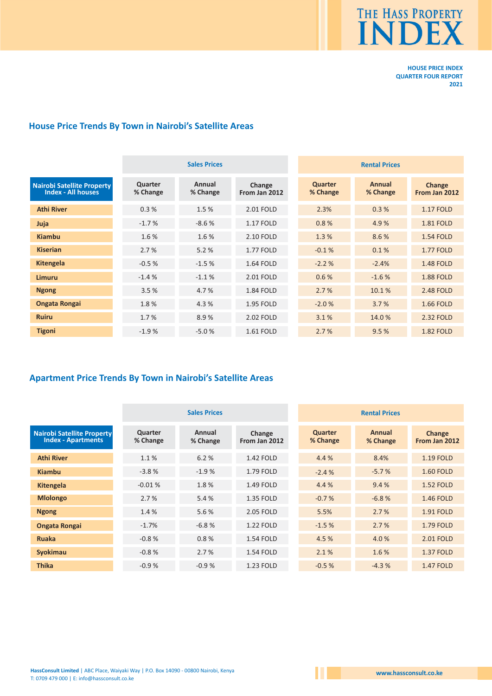

# **House Price Trends By Town in Nairobi's Satellite Areas**

|                                                                | <b>Sales Prices</b> |                    |                         | <b>Rental Prices</b> |                    |                         |
|----------------------------------------------------------------|---------------------|--------------------|-------------------------|----------------------|--------------------|-------------------------|
| <b>Nairobi Satellite Property</b><br><b>Index - All houses</b> | Quarter<br>% Change | Annual<br>% Change | Change<br>From Jan 2012 | Quarter<br>% Change  | Annual<br>% Change | Change<br>From Jan 2012 |
| <b>Athi River</b>                                              | 0.3%                | 1.5 %              | 2.01 FOLD               | 2.3%                 | 0.3%               | <b>1.17 FOLD</b>        |
| Juja                                                           | $-1.7%$             | $-8.6%$            | 1.17 FOLD               | 0.8%                 | 4.9%               | <b>1.81 FOLD</b>        |
| <b>Kiambu</b>                                                  | 1.6%                | 1.6%               | 2.10 FOLD               | 1.3 %                | 8.6%               | <b>1.54 FOLD</b>        |
| <b>Kiserian</b>                                                | 2.7%                | 5.2%               | <b>1.77 FOLD</b>        | $-0.1%$              | 0.1%               | <b>1.77 FOLD</b>        |
| Kitengela                                                      | $-0.5%$             | $-1.5%$            | <b>1.64 FOLD</b>        | $-2.2%$              | $-2.4%$            | <b>1.48 FOLD</b>        |
| Limuru                                                         | $-1.4%$             | $-1.1%$            | 2.01 FOLD               | 0.6%                 | $-1.6%$            | <b>1.88 FOLD</b>        |
| <b>Ngong</b>                                                   | 3.5%                | 4.7%               | 1.84 FOLD               | 2.7%                 | 10.1%              | 2.48 FOLD               |
| <b>Ongata Rongai</b>                                           | 1.8%                | 4.3 %              | 1.95 FOLD               | $-2.0%$              | 3.7%               | <b>1.66 FOLD</b>        |
| <b>Ruiru</b>                                                   | 1.7 %               | 8.9%               | 2.02 FOLD               | 3.1%                 | 14.0%              | 2.32 FOLD               |
| <b>Tigoni</b>                                                  | $-1.9%$             | $-5.0%$            | 1.61 FOLD               | 2.7%                 | 9.5%               | <b>1.82 FOLD</b>        |

# **Apartment Price Trends By Town in Nairobi's Satellite Areas**

|                                                                | <b>Sales Prices</b> |                    |                         | <b>Rental Prices</b>       |                    |                         |
|----------------------------------------------------------------|---------------------|--------------------|-------------------------|----------------------------|--------------------|-------------------------|
| <b>Nairobi Satellite Property</b><br><b>Index - Apartments</b> | Quarter<br>% Change | Annual<br>% Change | Change<br>From Jan 2012 | <b>Quarter</b><br>% Change | Annual<br>% Change | Change<br>From Jan 2012 |
| <b>Athi River</b>                                              | 1.1%                | 6.2%               | 1.42 FOLD               | 4.4 %                      | 8.4%               | 1.19 FOLD               |
| Kiambu                                                         | $-3.8%$             | $-1.9%$            | 1.79 FOLD               | $-2.4%$                    | $-5.7%$            | <b>1.60 FOLD</b>        |
| <b>Kitengela</b>                                               | $-0.01%$            | 1.8%               | 1.49 FOLD               | 4.4 %                      | 9.4%               | <b>1.52 FOLD</b>        |
| <b>Mlolongo</b>                                                | 2.7%                | 5.4 %              | 1.35 FOLD               | $-0.7%$                    | $-6.8%$            | <b>1.46 FOLD</b>        |
| <b>Ngong</b>                                                   | 1.4 %               | 5.6%               | 2.05 FOLD               | 5.5%                       | 2.7%               | <b>1.91 FOLD</b>        |
| <b>Ongata Rongai</b>                                           | $-1.7%$             | $-6.8%$            | 1.22 FOLD               | $-1.5%$                    | 2.7%               | 1.79 FOLD               |
| <b>Ruaka</b>                                                   | $-0.8%$             | 0.8%               | <b>1.54 FOLD</b>        | 4.5 %                      | 4.0%               | 2.01 FOLD               |
| <b>Syokimau</b>                                                | $-0.8%$             | 2.7%               | 1.54 FOLD               | 2.1%                       | 1.6%               | <b>1.37 FOLD</b>        |
| <b>Thika</b>                                                   | $-0.9%$             | $-0.9%$            | 1.23 FOLD               | $-0.5%$                    | $-4.3%$            | <b>1.47 FOLD</b>        |

Ш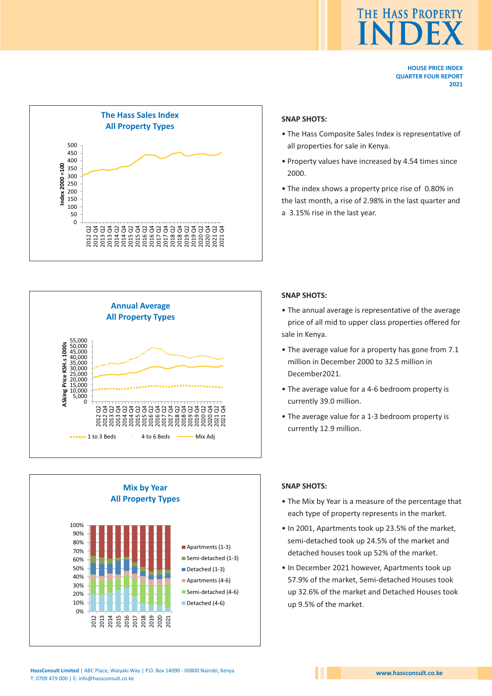



# **SNAP SHOTS:**

- The Hass Composite Sales Index is representative of all properties for sale in Kenya.
- Property values have increased by 4.54 times since 2000.
- The index shows a property price rise of 0.80% in
- the last month, a rise of 2.98% in the last quarter and
- a 3.15% rise in the last year.



#### **Mix by Year All Property Types** 0% 10% 20% 30% 40% 50% 60% 70% 80% 90% 100% 2012 2013 2014 2015<br>2017 2020<br>2020 2020<br>2021 Apartments (1-3) Semi-detached (1-3) Detached (1-3) Apartments (4-6) Semi-detached (4-6) Detached (4-6)

# **SNAP SHOTS:**

- The annual average is representative of the average price of all mid to upper class properties offered for sale in Kenya.
- The average value for a property has gone from 7.1 million in December 2000 to 32.5 million in December2021.
- The average value for a 4-6 bedroom property is currently 39.0 million.
- The average value for a 1-3 bedroom property is currently 12.9 million.

#### **SNAP SHOTS:**

- The Mix by Year is a measure of the percentage that each type of property represents in the market.
- In 2001, Apartments took up 23.5% of the market, semi-detached took up 24.5% of the market and detached houses took up 52% of the market.
- In December 2021 however, Apartments took up 57.9% of the market, Semi-detached Houses took up 32.6% of the market and Detached Houses took up 9.5% of the market.